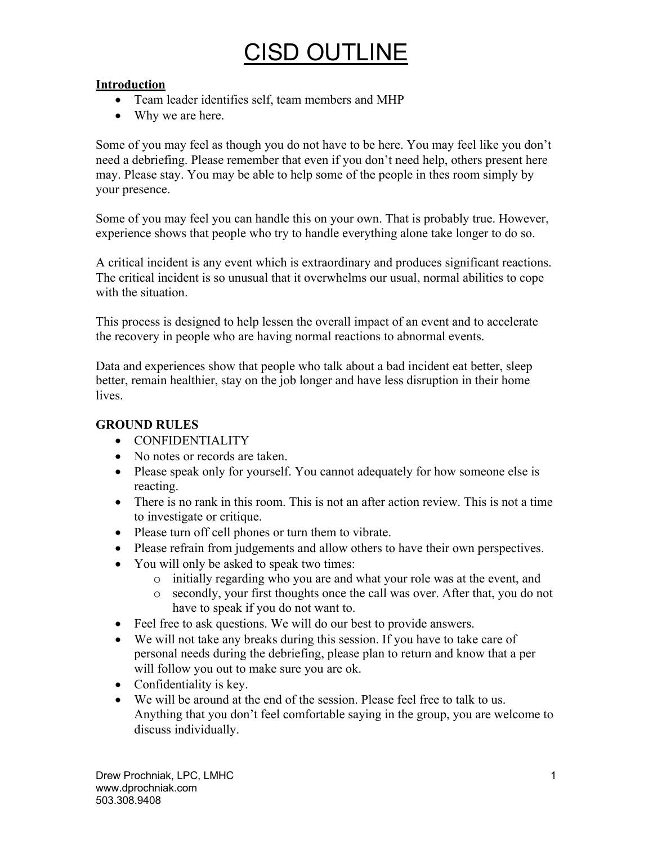# **Introduction**

- Team leader identifies self, team members and MHP
- Why we are here.

Some of you may feel as though you do not have to be here. You may feel like you don't need a debriefing. Please remember that even if you don't need help, others present here may. Please stay. You may be able to help some of the people in thes room simply by your presence.

Some of you may feel you can handle this on your own. That is probably true. However, experience shows that people who try to handle everything alone take longer to do so.

A critical incident is any event which is extraordinary and produces significant reactions. The critical incident is so unusual that it overwhelms our usual, normal abilities to cope with the situation.

This process is designed to help lessen the overall impact of an event and to accelerate the recovery in people who are having normal reactions to abnormal events.

Data and experiences show that people who talk about a bad incident eat better, sleep better, remain healthier, stay on the job longer and have less disruption in their home lives.

# **GROUND RULES**

- CONFIDENTIALITY
- No notes or records are taken.
- Please speak only for yourself. You cannot adequately for how someone else is reacting.
- There is no rank in this room. This is not an after action review. This is not a time to investigate or critique.
- Please turn off cell phones or turn them to vibrate.
- Please refrain from judgements and allow others to have their own perspectives.
- You will only be asked to speak two times:
	- o initially regarding who you are and what your role was at the event, and
	- o secondly, your first thoughts once the call was over. After that, you do not have to speak if you do not want to.
- Feel free to ask questions. We will do our best to provide answers.
- We will not take any breaks during this session. If you have to take care of personal needs during the debriefing, please plan to return and know that a per will follow you out to make sure you are ok.
- Confidentiality is key.
- We will be around at the end of the session. Please feel free to talk to us. Anything that you don't feel comfortable saying in the group, you are welcome to discuss individually.